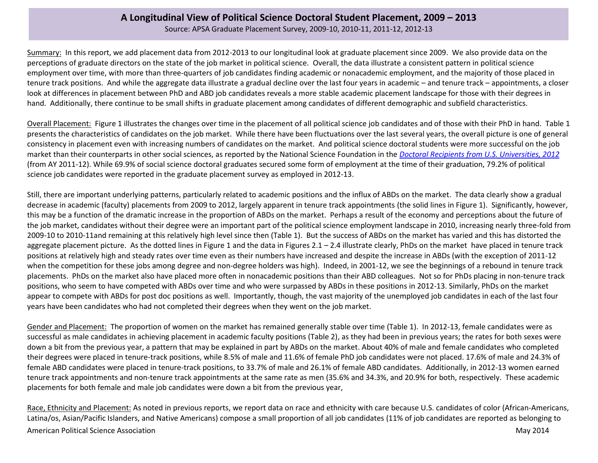Source: APSA Graduate Placement Survey, 2009-10, 2010-11, 2011-12, 2012-13

Summary: In this report, we add placement data from 2012-2013 to our longitudinal look at graduate placement since 2009. We also provide data on the perceptions of graduate directors on the state of the job market in political science. Overall, the data illustrate a consistent pattern in political science employment over time, with more than three-quarters of job candidates finding academic or nonacademic employment, and the majority of those placed in tenure track positions. And while the aggregate data illustrate a gradual decline over the last four years in academic – and tenure track – appointments, a closer look at differences in placement between PhD and ABD job candidates reveals a more stable academic placement landscape for those with their degrees in hand. Additionally, there continue to be small shifts in graduate placement among candidates of different demographic and subfield characteristics.

Overall Placement: Figure 1 illustrates the changes over time in the placement of all political science job candidates and of those with their PhD in hand. Table 1 presents the characteristics of candidates on the job market. While there have been fluctuations over the last several years, the overall picture is one of general consistency in placement even with increasing numbers of candidates on the market. And political science doctoral students were more successful on the job market than their counterparts in other social sciences, as reported by the National Science Foundation in the *[Doctoral Recipients from U.S. Universities, 2012](http://www.nsf.gov/statistics/sed/digest/2012/nsf14305.pdf)* (from AY 2011-12). While 69.9% of social science doctoral graduates secured some form of employment at the time of their graduation, 79.2% of political science job candidates were reported in the graduate placement survey as employed in 2012-13.

Still, there are important underlying patterns, particularly related to academic positions and the influx of ABDs on the market. The data clearly show a gradual decrease in academic (faculty) placements from 2009 to 2012, largely apparent in tenure track appointments (the solid lines in Figure 1). Significantly, however, this may be a function of the dramatic increase in the proportion of ABDs on the market. Perhaps a result of the economy and perceptions about the future of the job market, candidates without their degree were an important part of the political science employment landscape in 2010, increasing nearly three-fold from 2009-10 to 2010-11and remaining at this relatively high level since then (Table 1). But the success of ABDs on the market has varied and this has distorted the aggregate placement picture. As the dotted lines in Figure 1 and the data in Figures  $2.1 - 2.4$  illustrate clearly, PhDs on the market have placed in tenure track positions at relatively high and steady rates over time even as their numbers have increased and despite the increase in ABDs (with the exception of 2011-12 when the competition for these jobs among degree and non-degree holders was high). Indeed, in 2001-12, we see the beginnings of a rebound in tenure track placements. PhDs on the market also have placed more often in nonacademic positions than their ABD colleagues. Not so for PhDs placing in non-tenure track positions, who seem to have competed with ABDs over time and who were surpassed by ABDs in these positions in 2012-13. Similarly, PhDs on the market appear to compete with ABDs for post doc positions as well. Importantly, though, the vast majority of the unemployed job candidates in each of the last four years have been candidates who had not completed their degrees when they went on the job market.

Gender and Placement: The proportion of women on the market has remained generally stable over time (Table 1). In 2012-13, female candidates were as successful as male candidates in achieving placement in academic faculty positions (Table 2), as they had been in previous years; the rates for both sexes were down a bit from the previous year, a pattern that may be explained in part by ABDs on the market. About 40% of male and female candidates who completed their degrees were placed in tenure-track positions, while 8.5% of male and 11.6% of female PhD job candidates were not placed. 17.6% of male and 24.3% of female ABD candidates were placed in tenure-track positions, to 33.7% of male and 26.1% of female ABD candidates. Additionally, in 2012-13 women earned tenure track appointments and non-tenure track appointments at the same rate as men (35.6% and 34.3%, and 20.9% for both, respectively. These academic placements for both female and male job candidates were down a bit from the previous year,

American Political Science Association **May 2014** Navigation May 2014 Race, Ethnicity and Placement: As noted in previous reports, we report data on race and ethnicity with care because U.S. candidates of color (African-Americans, Latina/os, Asian/Pacific Islanders, and Native Americans) compose a small proportion of all job candidates (11% of job candidates are reported as belonging to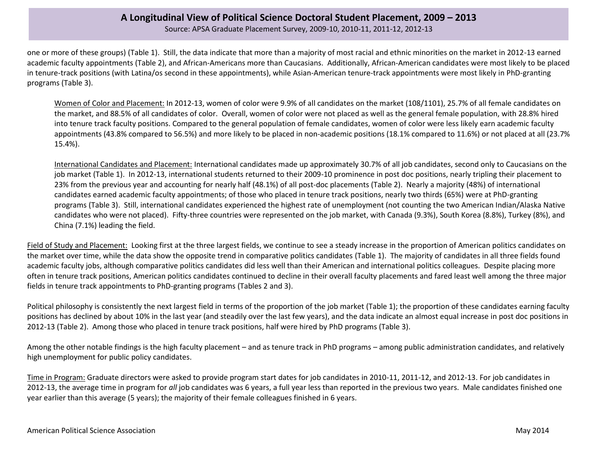Source: APSA Graduate Placement Survey, 2009-10, 2010-11, 2011-12, 2012-13

one or more of these groups) (Table 1). Still, the data indicate that more than a majority of most racial and ethnic minorities on the market in 2012-13 earned academic faculty appointments (Table 2), and African-Americans more than Caucasians. Additionally, African-American candidates were most likely to be placed in tenure-track positions (with Latina/os second in these appointments), while Asian-American tenure-track appointments were most likely in PhD-granting programs (Table 3).

Women of Color and Placement: In 2012-13, women of color were 9.9% of all candidates on the market (108/1101), 25.7% of all female candidates on the market, and 88.5% of all candidates of color. Overall, women of color were not placed as well as the general female population, with 28.8% hired into tenure track faculty positions. Compared to the general population of female candidates, women of color were less likely earn academic faculty appointments (43.8% compared to 56.5%) and more likely to be placed in non-academic positions (18.1% compared to 11.6%) or not placed at all (23.7% 15.4%).

International Candidates and Placement: International candidates made up approximately 30.7% of all job candidates, second only to Caucasians on the job market (Table 1). In 2012-13, international students returned to their 2009-10 prominence in post doc positions, nearly tripling their placement to 23% from the previous year and accounting for nearly half (48.1%) of all post-doc placements (Table 2). Nearly a majority (48%) of international candidates earned academic faculty appointments; of those who placed in tenure track positions, nearly two thirds (65%) were at PhD-granting programs (Table 3). Still, international candidates experienced the highest rate of unemployment (not counting the two American Indian/Alaska Native candidates who were not placed). Fifty-three countries were represented on the job market, with Canada (9.3%), South Korea (8.8%), Turkey (8%), and China (7.1%) leading the field.

Field of Study and Placement: Looking first at the three largest fields, we continue to see a steady increase in the proportion of American politics candidates on the market over time, while the data show the opposite trend in comparative politics candidates (Table 1). The majority of candidates in all three fields found academic faculty jobs, although comparative politics candidates did less well than their American and international politics colleagues. Despite placing more often in tenure track positions, American politics candidates continued to decline in their overall faculty placements and fared least well among the three major fields in tenure track appointments to PhD-granting programs (Tables 2 and 3).

Political philosophy is consistently the next largest field in terms of the proportion of the job market (Table 1); the proportion of these candidates earning faculty positions has declined by about 10% in the last year (and steadily over the last few years), and the data indicate an almost equal increase in post doc positions in 2012-13 (Table 2). Among those who placed in tenure track positions, half were hired by PhD programs (Table 3).

Among the other notable findings is the high faculty placement – and as tenure track in PhD programs – among public administration candidates, and relatively high unemployment for public policy candidates.

Time in Program: Graduate directors were asked to provide program start dates for job candidates in 2010-11, 2011-12, and 2012-13. For job candidates in 2012-13, the average time in program for *all* job candidates was 6 years, a full year less than reported in the previous two years. Male candidates finished one year earlier than this average (5 years); the majority of their female colleagues finished in 6 years.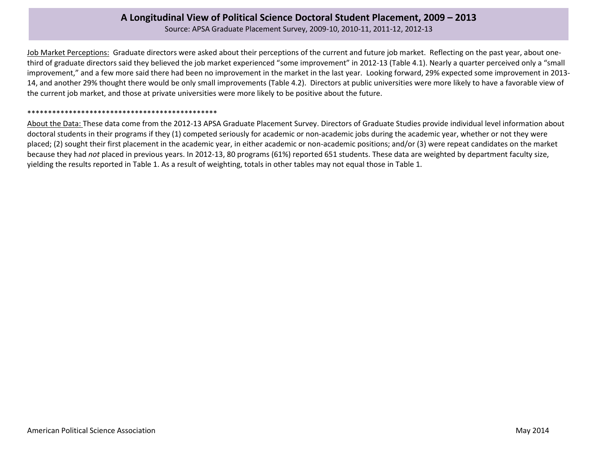Source: APSA Graduate Placement Survey, 2009-10, 2010-11, 2011-12, 2012-13

Job Market Perceptions: Graduate directors were asked about their perceptions of the current and future job market. Reflecting on the past year, about onethird of graduate directors said they believed the job market experienced "some improvement" in 2012-13 (Table 4.1). Nearly a quarter perceived only a "small improvement," and a few more said there had been no improvement in the market in the last year. Looking forward, 29% expected some improvement in 2013- 14, and another 29% thought there would be only small improvements (Table 4.2). Directors at public universities were more likely to have a favorable view of the current job market, and those at private universities were more likely to be positive about the future.

#### \*\*\*\*\*\*\*\*\*\*\*\*\*\*\*\*\*\*\*\*\*\*\*\*\*\*\*\*\*\*\*\*\*\*\*\*\*\*\*\*\*\*\*\*\*\*

About the Data: These data come from the 2012-13 APSA Graduate Placement Survey. Directors of Graduate Studies provide individual level information about doctoral students in their programs if they (1) competed seriously for academic or non-academic jobs during the academic year, whether or not they were placed; (2) sought their first placement in the academic year, in either academic or non-academic positions; and/or (3) were repeat candidates on the market because they had *not* placed in previous years. In 2012-13, 80 programs (61%) reported 651 students. These data are weighted by department faculty size, yielding the results reported in Table 1. As a result of weighting, totals in other tables may not equal those in Table 1.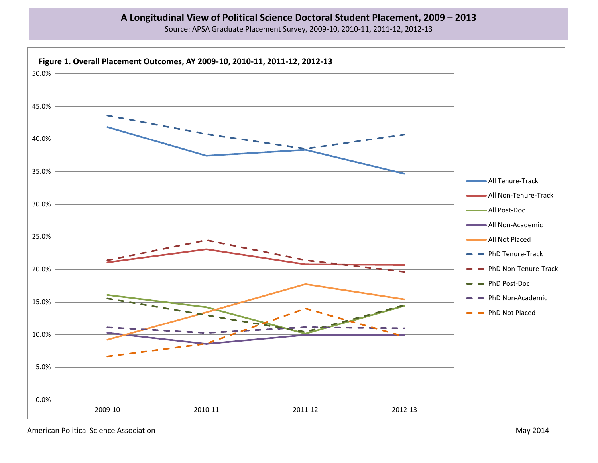Source: APSA Graduate Placement Survey, 2009-10, 2010-11, 2011-12, 2012-13

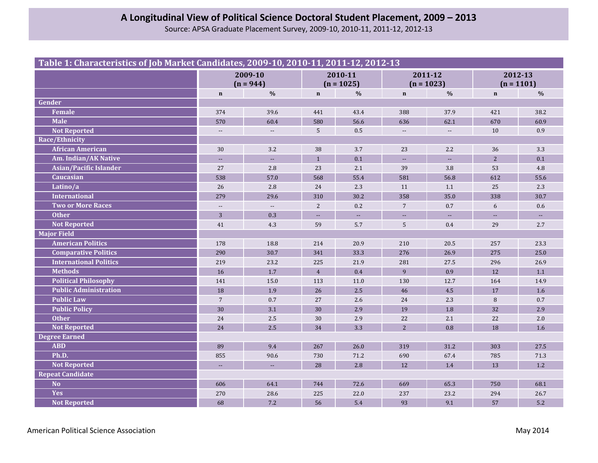Source: APSA Graduate Placement Survey, 2009-10, 2010-11, 2011-12, 2012-13

## **Table 1: Characteristics of Job Market Candidates, 2009-10, 2010-11, 2011-12, 2012-13**

|                               | 2009-10<br>$(n = 944)$   |                           | 2010-11<br>$(n = 1025)$ |                           | 2011-12<br>$(n = 1023)$  |                           | 2012-13<br>$(n = 1101)$ |                |
|-------------------------------|--------------------------|---------------------------|-------------------------|---------------------------|--------------------------|---------------------------|-------------------------|----------------|
|                               | $\mathbf n$              | $\frac{0}{0}$             | $\mathbf n$             | $\frac{0}{0}$             | $\mathbf n$              | $\frac{0}{0}$             | $\mathbf n$             | $\frac{0}{0}$  |
| Gender                        |                          |                           |                         |                           |                          |                           |                         |                |
| Female                        | 374                      | 39.6                      | 441                     | 43.4                      | 388                      | 37.9                      | 421                     | 38.2           |
| <b>Male</b>                   | 570                      | 60.4                      | 580                     | 56.6                      | 636                      | 62.1                      | 670                     | 60.9           |
| <b>Not Reported</b>           | $\overline{\phantom{a}}$ | $\overline{\phantom{a}}$  | 5                       | 0.5                       | $\overline{\phantom{a}}$ | $\overline{\phantom{a}}$  | 10                      | 0.9            |
| Race/Ethnicity                |                          |                           |                         |                           |                          |                           |                         |                |
| <b>African American</b>       | 30                       | 3.2                       | 38                      | 3.7                       | 23                       | 2.2                       | 36                      | 3.3            |
| Am. Indian/AK Native          | $\overline{a}$           | $\sim$ $\sim$             | $\mathbf{1}$            | 0.1                       | $\sim$                   | $\sim$                    | $\overline{2}$          | 0.1            |
| Asian/Pacific Islander        | 27                       | 2.8                       | 23                      | 2.1                       | 39                       | 3.8                       | 53                      | 4.8            |
| <b>Caucasian</b>              | 538                      | 57.0                      | 568                     | 55.4                      | 581                      | 56.8                      | 612                     | 55.6           |
| Latino/a                      | 26                       | 2.8                       | 24                      | 2.3                       | 11                       | 1.1                       | 25                      | 2.3            |
| <b>International</b>          | 279                      | 29.6                      | 310                     | 30.2                      | 358                      | 35.0                      | 338                     | 30.7           |
| <b>Two or More Races</b>      | $\overline{\phantom{a}}$ | $\overline{\phantom{a}}$  | 2                       | 0.2                       | $\overline{7}$           | 0.7                       | $\boldsymbol{6}$        | 0.6            |
| <b>Other</b>                  | 3                        | 0.3                       | ц.                      | $\mathbb{H}^{\mathbb{Z}}$ | $\mathbb{L} \mathbb{L}$  | $\mathbb{L}^{\mathbb{L}}$ | ш.                      | $\mathbb{L}^2$ |
| <b>Not Reported</b>           | 41                       | 4.3                       | 59                      | 5.7                       | 5                        | 0.4                       | 29                      | 2.7            |
| Major Field                   |                          |                           |                         |                           |                          |                           |                         |                |
| <b>American Politics</b>      | 178                      | 18.8                      | 214                     | 20.9                      | 210                      | 20.5                      | 257                     | 23.3           |
| <b>Comparative Politics</b>   | 290                      | 30.7                      | 341                     | 33.3                      | 276                      | 26.9                      | 275                     | 25.0           |
| <b>International Politics</b> | 219                      | 23.2                      | 225                     | 21.9                      | 281                      | 27.5                      | 296                     | 26.9           |
| <b>Methods</b>                | 16                       | 1.7                       | $\overline{4}$          | 0.4                       | 9                        | 0.9                       | 12                      | 1.1            |
| <b>Political Philosophy</b>   | 141                      | 15.0                      | 113                     | 11.0                      | 130                      | 12.7                      | 164                     | 14.9           |
| <b>Public Administration</b>  | 18                       | 1.9                       | 26                      | 2.5                       | 46                       | 4.5                       | 17                      | 1.6            |
| <b>Public Law</b>             | $7\overline{ }$          | 0.7                       | 27                      | 2.6                       | 24                       | 2.3                       | 8                       | 0.7            |
| <b>Public Policy</b>          | 30                       | 3.1                       | 30                      | 2.9                       | 19                       | 1.8                       | 32                      | 2.9            |
| <b>Other</b>                  | 24                       | 2.5                       | 30                      | 2.9                       | 22                       | 2.1                       | 22                      | 2.0            |
| <b>Not Reported</b>           | 24                       | 2.5                       | 34                      | 3.3                       | 2                        | 0.8                       | 18                      | 1.6            |
| <b>Degree Earned</b>          |                          |                           |                         |                           |                          |                           |                         |                |
| <b>ABD</b>                    | 89                       | 9.4                       | 267                     | 26.0                      | 319                      | 31.2                      | 303                     | 27.5           |
| Ph.D.                         | 855                      | 90.6                      | 730                     | 71.2                      | 690                      | 67.4                      | 785                     | 71.3           |
| <b>Not Reported</b>           | $\overline{a}$           | $\mathbb{L}^{\mathbb{L}}$ | 28                      | 2.8                       | 12                       | 1.4                       | 13                      | 1.2            |
| <b>Repeat Candidate</b>       |                          |                           |                         |                           |                          |                           |                         |                |
| <b>No</b>                     | 606                      | 64.1                      | 744                     | 72.6                      | 669                      | 65.3                      | 750                     | 68.1           |
| <b>Yes</b>                    | 270                      | 28.6                      | 225                     | 22.0                      | 237                      | 23.2                      | 294                     | 26.7           |
| <b>Not Reported</b>           | 68                       | 7.2                       | 56                      | 5.4                       | 93                       | 9.1                       | 57                      | 5.2            |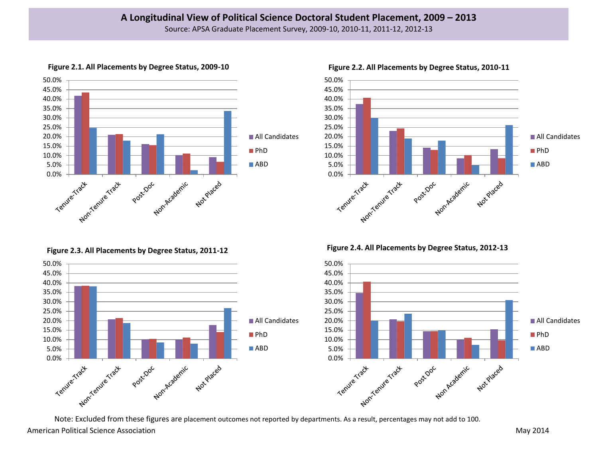

**Figure 2.1. All Placements by Degree Status, 2009-10**

**Figure 2.3. All Placements by Degree Status, 2011-12**





**Figure 2.2. All Placements by Degree Status, 2010-11**

**Figure 2.4. All Placements by Degree Status, 2012-13**



American Political Science Association **May 2014** Nav 2014 Note: Excluded from these figures are placement outcomes not reported by departments. As a result, percentages may not add to 100.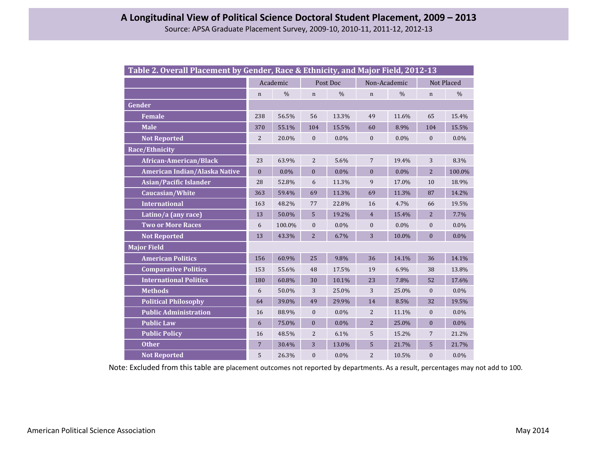| Table 2. Overall Placement by Gender, Race & Ethnicity, and Major Field, 2012-13 |                |               |                  |               |                  |               |                  |               |
|----------------------------------------------------------------------------------|----------------|---------------|------------------|---------------|------------------|---------------|------------------|---------------|
|                                                                                  | Academic       |               | Post Doc         |               | Non-Academic     |               | Not Placed       |               |
|                                                                                  | n              | $\frac{0}{0}$ | $\mathbf n$      | $\frac{0}{0}$ | $\mathbf n$      | $\frac{0}{0}$ | $\mathbf n$      | $\frac{0}{0}$ |
| Gender                                                                           |                |               |                  |               |                  |               |                  |               |
| <b>Female</b>                                                                    | 238            | 56.5%         | 56               | 13.3%         | 49               | 11.6%         | 65               | 15.4%         |
| <b>Male</b>                                                                      | 370            | 55.1%         | 104              | 15.5%         | 60               | 8.9%          | 104              | 15.5%         |
| <b>Not Reported</b>                                                              | $\overline{2}$ | 20.0%         | $\mathbf{0}$     | 0.0%          | $\boldsymbol{0}$ | $0.0\%$       | $\mathbf{0}$     | $0.0\%$       |
| Race/Ethnicity                                                                   |                |               |                  |               |                  |               |                  |               |
| <b>African-American/Black</b>                                                    | 23             | 63.9%         | $\overline{2}$   | 5.6%          | $\overline{7}$   | 19.4%         | 3                | 8.3%          |
| American Indian/Alaska Native                                                    | $\overline{0}$ | $0.0\%$       | $\boldsymbol{0}$ | $0.0\%$       | $\overline{0}$   | $0.0\%$       | $\overline{2}$   | 100.0%        |
| <b>Asian/Pacific Islander</b>                                                    | 28             | 52.8%         | 6                | 11.3%         | 9                | 17.0%         | 10               | 18.9%         |
| Caucasian/White                                                                  | 363            | 59.4%         | 69               | 11.3%         | 69               | 11.3%         | 87               | 14.2%         |
| <b>International</b>                                                             | 163            | 48.2%         | 77               | 22.8%         | 16               | 4.7%          | 66               | 19.5%         |
| Latino/a (any race)                                                              | 13             | 50.0%         | 5                | 19.2%         | $\overline{4}$   | 15.4%         | 2                | 7.7%          |
| <b>Two or More Races</b>                                                         | 6              | 100.0%        | $\boldsymbol{0}$ | $0.0\%$       | $\boldsymbol{0}$ | $0.0\%$       | $\mathbf{0}$     | $0.0\%$       |
| <b>Not Reported</b>                                                              | 13             | 43.3%         | $\overline{2}$   | 6.7%          | 3                | 10.0%         | $\boldsymbol{0}$ | 0.0%          |
| <b>Major Field</b>                                                               |                |               |                  |               |                  |               |                  |               |
| <b>American Politics</b>                                                         | 156            | 60.9%         | 25               | 9.8%          | 36               | 14.1%         | 36               | 14.1%         |
| <b>Comparative Politics</b>                                                      | 153            | 55.6%         | 48               | 17.5%         | 19               | 6.9%          | 38               | 13.8%         |
| <b>International Politics</b>                                                    | 180            | 60.8%         | 30               | 10.1%         | 23               | 7.8%          | 52               | 17.6%         |
| <b>Methods</b>                                                                   | 6              | 50.0%         | 3                | 25.0%         | 3                | 25.0%         | $\mathbf{0}$     | $0.0\%$       |
| <b>Political Philosophy</b>                                                      | 64             | 39.0%         | 49               | 29.9%         | 14               | 8.5%          | 32               | 19.5%         |
| <b>Public Administration</b>                                                     | 16             | 88.9%         | $\boldsymbol{0}$ | $0.0\%$       | $\overline{c}$   | 11.1%         | $\boldsymbol{0}$ | $0.0\%$       |
| <b>Public Law</b>                                                                | 6              | 75.0%         | $\mathbf{0}$     | $0.0\%$       | $\overline{2}$   | 25.0%         | $\overline{0}$   | $0.0\%$       |
| <b>Public Policy</b>                                                             | 16             | 48.5%         | 2                | 6.1%          | 5                | 15.2%         | $7\overline{ }$  | 21.2%         |
| <b>Other</b>                                                                     | $\overline{7}$ | 30.4%         | 3                | 13.0%         | 5                | 21.7%         | 5                | 21.7%         |
| <b>Not Reported</b>                                                              | 5              | 26.3%         | $\boldsymbol{0}$ | $0.0\%$       | $\overline{2}$   | 10.5%         | $\mathbf{0}$     | $0.0\%$       |

Note: Excluded from this table are placement outcomes not reported by departments. As a result, percentages may not add to 100.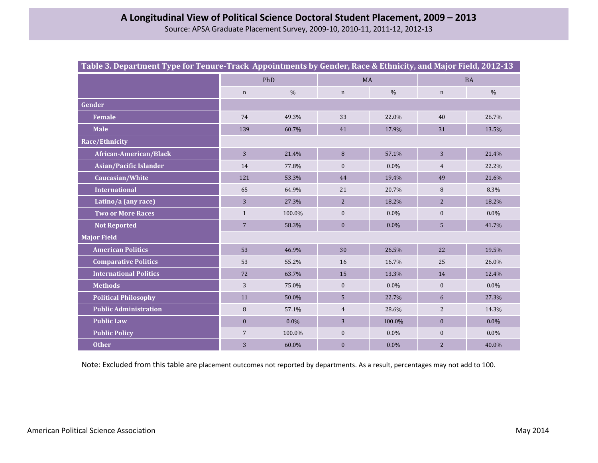| Table 3. Department Type for Tenure-Track Appointments by Gender, Race & Ethnicity, and Major Field, 2012-13 |                |               |                |               |                  |               |  |
|--------------------------------------------------------------------------------------------------------------|----------------|---------------|----------------|---------------|------------------|---------------|--|
|                                                                                                              | PhD            |               | MA             |               | <b>BA</b>        |               |  |
|                                                                                                              | $\mathbf n$    | $\frac{0}{0}$ | $\mathbf n$    | $\frac{0}{0}$ | $\mathbf n$      | $\frac{0}{0}$ |  |
| Gender                                                                                                       |                |               |                |               |                  |               |  |
| <b>Female</b>                                                                                                | 74             | 49.3%         | 33             | 22.0%         | 40               | 26.7%         |  |
| <b>Male</b>                                                                                                  | 139            | 60.7%         | 41             | 17.9%         | 31               | 13.5%         |  |
| Race/Ethnicity                                                                                               |                |               |                |               |                  |               |  |
| African-American/Black                                                                                       | $\overline{3}$ | 21.4%         | 8              | 57.1%         | 3                | 21.4%         |  |
| <b>Asian/Pacific Islander</b>                                                                                | 14             | 77.8%         | $\mathbf{0}$   | $0.0\%$       | $\overline{4}$   | 22.2%         |  |
| Caucasian/White                                                                                              | 121            | 53.3%         | 44             | 19.4%         | 49               | 21.6%         |  |
| <b>International</b>                                                                                         | 65             | 64.9%         | 21             | 20.7%         | 8                | 8.3%          |  |
| Latino/a (any race)                                                                                          | 3              | 27.3%         | 2              | 18.2%         | $\overline{2}$   | 18.2%         |  |
| <b>Two or More Races</b>                                                                                     | $\mathbf{1}$   | 100.0%        | $\mathbf{0}$   | $0.0\%$       | $\boldsymbol{0}$ | $0.0\%$       |  |
| <b>Not Reported</b>                                                                                          | $\overline{7}$ | 58.3%         | $\mathbf{0}$   | $0.0\%$       | 5                | 41.7%         |  |
| <b>Major Field</b>                                                                                           |                |               |                |               |                  |               |  |
| <b>American Politics</b>                                                                                     | 53             | 46.9%         | 30             | 26.5%         | 22               | 19.5%         |  |
| <b>Comparative Politics</b>                                                                                  | 53             | 55.2%         | 16             | 16.7%         | 25               | 26.0%         |  |
| <b>International Politics</b>                                                                                | 72             | 63.7%         | 15             | 13.3%         | 14               | 12.4%         |  |
| <b>Methods</b>                                                                                               | 3              | 75.0%         | $\mathbf{0}$   | $0.0\%$       | $\mathbf{0}$     | $0.0\%$       |  |
| <b>Political Philosophy</b>                                                                                  | 11             | 50.0%         | 5              | 22.7%         | 6                | 27.3%         |  |
| <b>Public Administration</b>                                                                                 | $\, 8$         | 57.1%         | $\overline{4}$ | 28.6%         | $\overline{2}$   | 14.3%         |  |
| <b>Public Law</b>                                                                                            | $\mathbf{0}$   | $0.0\%$       | 3              | 100.0%        | $\mathbf{0}$     | $0.0\%$       |  |
| <b>Public Policy</b>                                                                                         | $\overline{7}$ | 100.0%        | $\mathbf{0}$   | $0.0\%$       | $\boldsymbol{0}$ | $0.0\%$       |  |
| <b>Other</b>                                                                                                 | 3              | 60.0%         | $\mathbf{0}$   | $0.0\%$       | $\overline{2}$   | 40.0%         |  |

Note: Excluded from this table are placement outcomes not reported by departments. As a result, percentages may not add to 100.